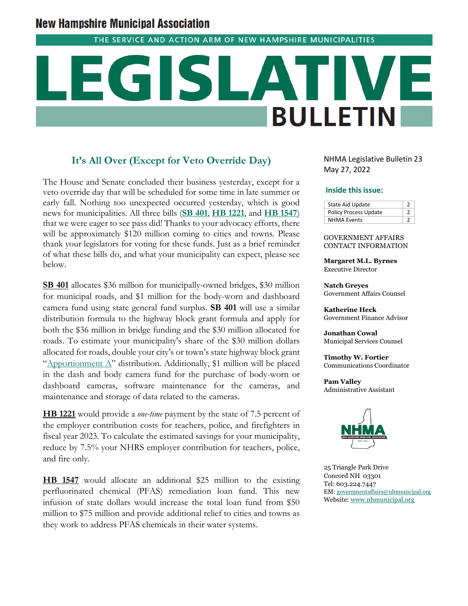# **New Hampshire Municipal Association**

THE SERVICE AND ACTION ARM OF NEW HAMPSHIRE MUNICIPALITIES

# **BULLETIN**

## **It's All Over (Except for Veto Override Day)**

The House and Senate concluded their business yesterday, except for a veto override day that will be scheduled for some time in late summer or early fall. Nothing too unexpected occurred yesterday, which is good news for municipalities. All three bills (**[SB 401](http://www.gencourt.state.nh.us/bill_status/billinfo.aspx?id=2027&inflect=2)**, **[HB 1221](http://www.gencourt.state.nh.us/bill_status/billinfo.aspx?id=1384&inflect=2)**, and **[HB 1547](http://www.gencourt.state.nh.us/bill_status/billinfo.aspx?id=1301&inflect=2)**) that we were eager to see pass did! Thanks to your advocacy efforts, there will be approximately \$120 million coming to cities and towns. Please thank your legislators for voting for these funds. Just as a brief reminder of what these bills do, and what your municipality can expect, please see below.

**SB 401** allocates \$36 million for municipally-owned bridges, \$30 million for municipal roads, and \$1 million for the body-worn and dashboard camera fund using state general fund surplus. **SB 401** will use a similar distribution formula to the highway block grant formula and apply for both the \$36 million in bridge funding and the \$30 million allocated for roads. To estimate your municipality's share of the \$30 million dollars allocated for roads, double your city's or town's state highway block grant "Apportionment  $A$ " distribution. Additionally, \$1 million will be placed in the dash and body camera fund for the purchase of body-worn or dashboard cameras, software maintenance for the cameras, and maintenance and storage of data related to the cameras.

**HB 1221** would provide a *one-time* payment by the state of 7.5 percent of the employer contribution costs for teachers, police, and firefighters in fiscal year 2023. To calculate the estimated savings for your municipality, reduce by 7.5% your NHRS employer contribution for teachers, police, and fire only.

**HB 1547** would allocate an additional \$25 million to the existing perfluorinated chemical (PFAS) remediation loan fund. This new infusion of state dollars would increase the total loan fund from \$50 million to \$75 million and provide additional relief to cities and towns as they work to address PFAS chemicals in their water systems.

NHMA Legislative Bulletin 23 May 27, 2022

### **Inside this issue:**

| <b>State Aid Update</b>      |  |
|------------------------------|--|
| <b>Policy Process Update</b> |  |
| <b>NHMA Events</b>           |  |

### GOVERNMENT AFFAIRS CONTACT INFORMATION

**Margaret M.L. Byrnes** Executive Director

**Natch Greyes** Government Affairs Counsel

**Katherine Heck** Government Finance Advisor

**Jonathan Cowal** Municipal Services Counsel

**Timothy W. Fortier** Communications Coordinator

**Pam Valley** Administrative Assistant



25 Triangle Park Drive Concord NH 03301 Tel: 603.224.7447 EM: [governmentaffairs@nhmunicipal.org](mailto:governmentaffairs@nhmunicipal.org) Website: [www.nhmunicipal.org](http://www.nhmunicipal.org/)